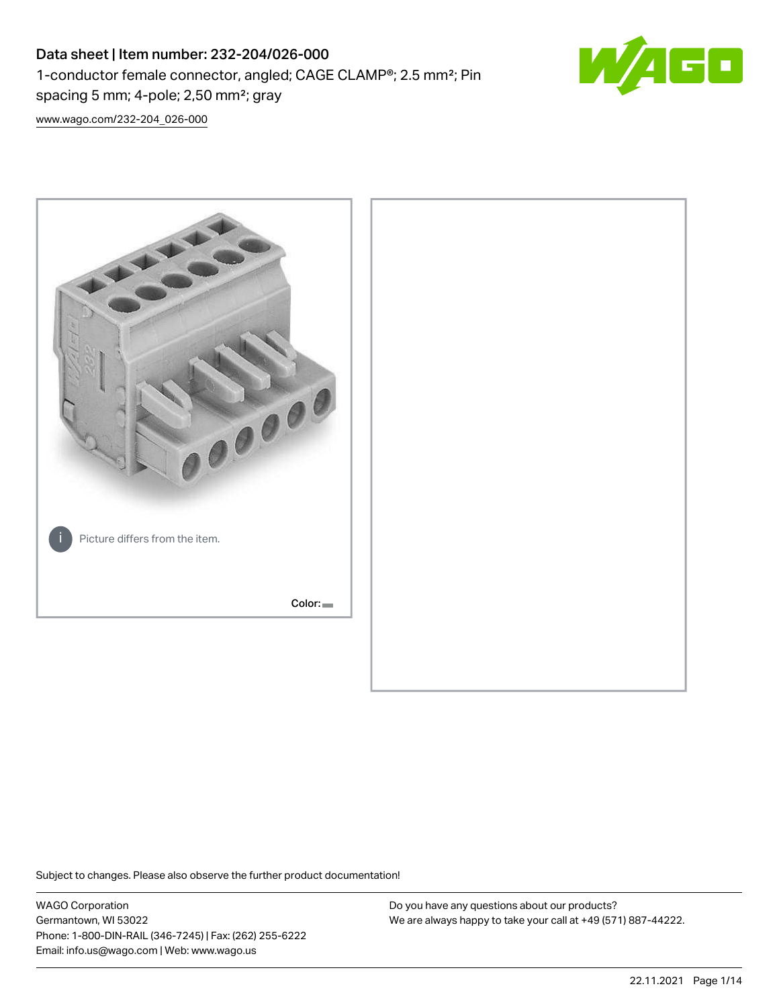# Data sheet | Item number: 232-204/026-000 1-conductor female connector, angled; CAGE CLAMP®; 2.5 mm²; Pin spacing 5 mm; 4-pole; 2,50 mm²; gray



[www.wago.com/232-204\\_026-000](http://www.wago.com/232-204_026-000)



Subject to changes. Please also observe the further product documentation!

WAGO Corporation Germantown, WI 53022 Phone: 1-800-DIN-RAIL (346-7245) | Fax: (262) 255-6222 Email: info.us@wago.com | Web: www.wago.us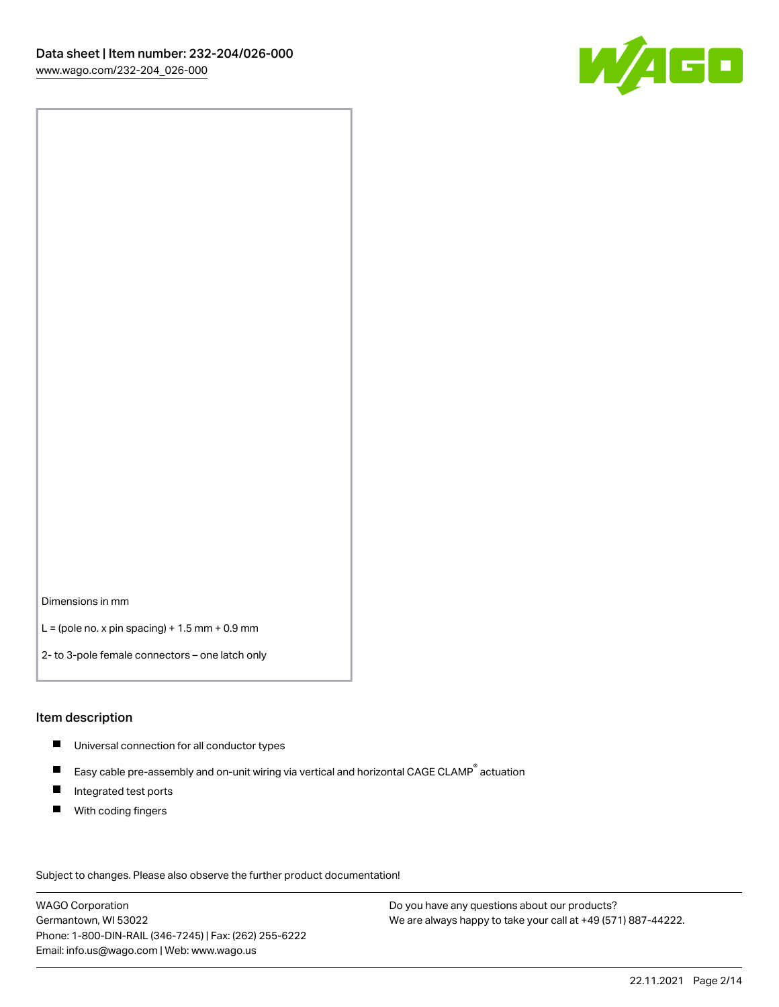

Dimensions in mm

 $L =$  (pole no. x pin spacing) + 1.5 mm + 0.9 mm

2- to 3-pole female connectors – one latch only

#### Item description

- **Universal connection for all conductor types**
- Easy cable pre-assembly and on-unit wiring via vertical and horizontal CAGE CLAMP<sup>®</sup> actuation  $\blacksquare$
- $\blacksquare$ Integrated test ports
- $\blacksquare$ With coding fingers

Subject to changes. Please also observe the further product documentation! Data

WAGO Corporation Germantown, WI 53022 Phone: 1-800-DIN-RAIL (346-7245) | Fax: (262) 255-6222 Email: info.us@wago.com | Web: www.wago.us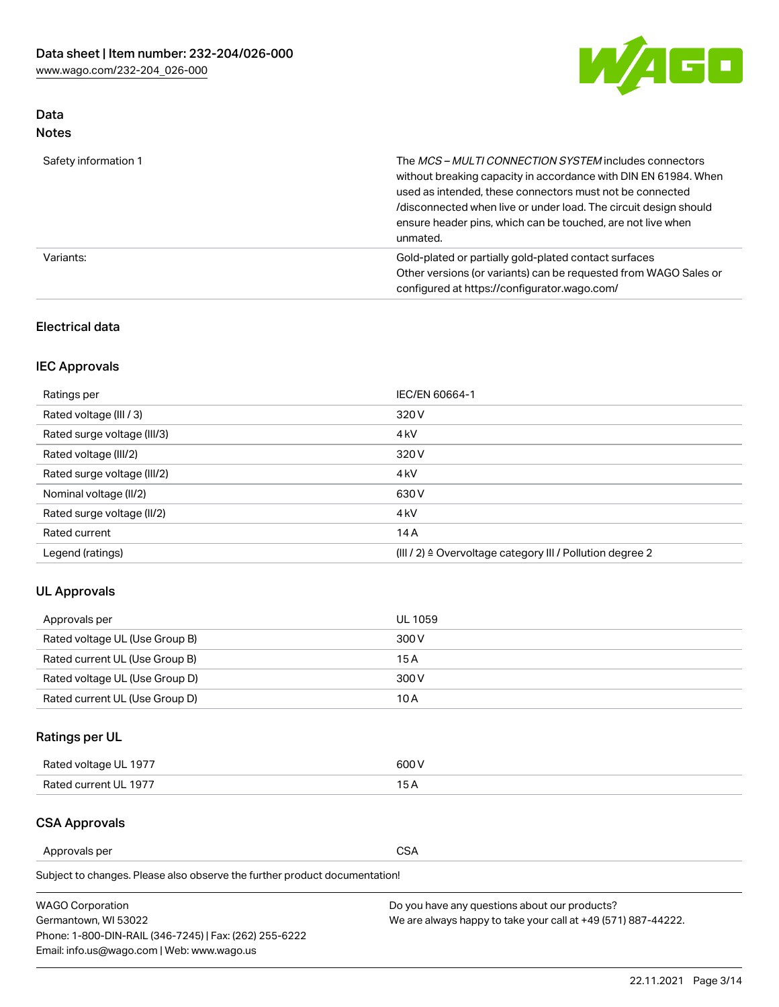

## Data Notes

| Safety information 1 | The MCS-MULTI CONNECTION SYSTEM includes connectors<br>without breaking capacity in accordance with DIN EN 61984. When<br>used as intended, these connectors must not be connected<br>/disconnected when live or under load. The circuit design should<br>ensure header pins, which can be touched, are not live when<br>unmated. |
|----------------------|-----------------------------------------------------------------------------------------------------------------------------------------------------------------------------------------------------------------------------------------------------------------------------------------------------------------------------------|
| Variants:            | Gold-plated or partially gold-plated contact surfaces<br>Other versions (or variants) can be requested from WAGO Sales or<br>configured at https://configurator.wago.com/                                                                                                                                                         |

#### Electrical data

# IEC Approvals

| Ratings per                 | IEC/EN 60664-1                                                        |
|-----------------------------|-----------------------------------------------------------------------|
| Rated voltage (III / 3)     | 320 V                                                                 |
| Rated surge voltage (III/3) | 4 <sub>k</sub> V                                                      |
| Rated voltage (III/2)       | 320 V                                                                 |
| Rated surge voltage (III/2) | 4 <sub>k</sub> V                                                      |
| Nominal voltage (II/2)      | 630 V                                                                 |
| Rated surge voltage (II/2)  | 4 <sub>k</sub> V                                                      |
| Rated current               | 14A                                                                   |
| Legend (ratings)            | $(III / 2)$ $\triangle$ Overvoltage category III / Pollution degree 2 |

#### UL Approvals

| Approvals per                  | UL 1059 |
|--------------------------------|---------|
| Rated voltage UL (Use Group B) | 300 V   |
| Rated current UL (Use Group B) | 15 A    |
| Rated voltage UL (Use Group D) | 300 V   |
| Rated current UL (Use Group D) | 10 A    |

# Ratings per UL

| Rated voltage UL 1977 | 600 V         |
|-----------------------|---------------|
| Rated current UL 1977 | $\sim$ $\sim$ |

#### CSA Approvals

Approvals per CSA

Subject to changes. Please also observe the further product documentation!

| <b>WAGO Corporation</b>                                | Do you have any questions about our products?                 |
|--------------------------------------------------------|---------------------------------------------------------------|
| Germantown, WI 53022                                   | We are always happy to take your call at +49 (571) 887-44222. |
| Phone: 1-800-DIN-RAIL (346-7245)   Fax: (262) 255-6222 |                                                               |
| Email: info.us@wago.com   Web: www.wago.us             |                                                               |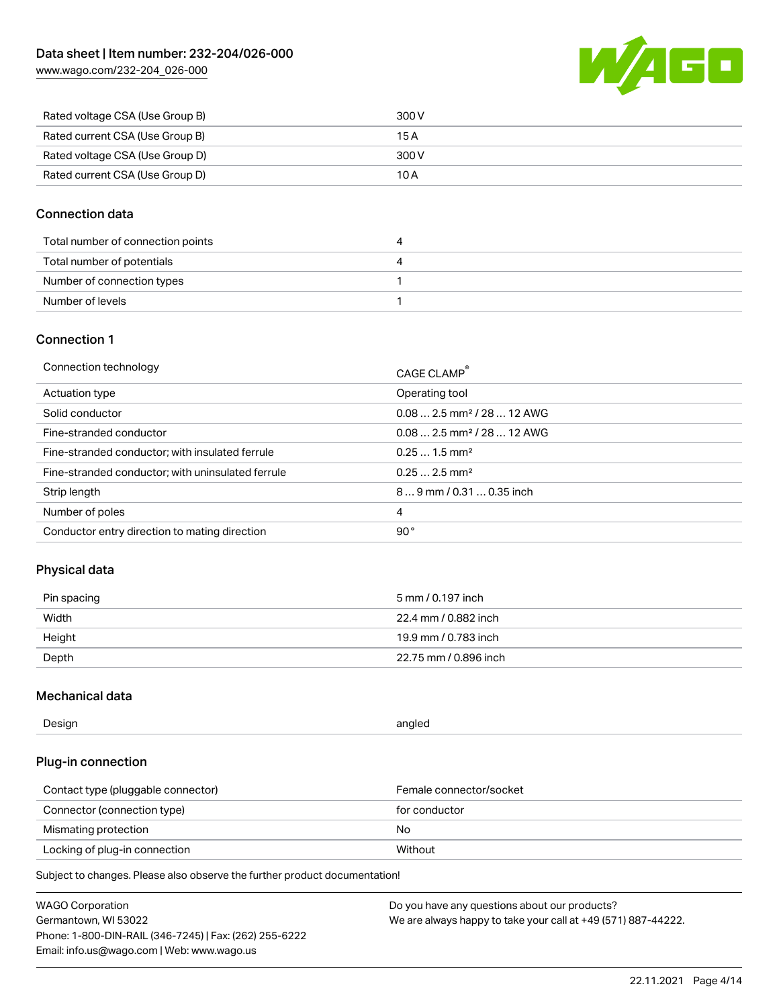

| Rated voltage CSA (Use Group B) | 300 V |
|---------------------------------|-------|
| Rated current CSA (Use Group B) | 15 A  |
| Rated voltage CSA (Use Group D) | 300 V |
| Rated current CSA (Use Group D) | 10 A  |

#### Connection data

| Total number of connection points |  |
|-----------------------------------|--|
| Total number of potentials        |  |
| Number of connection types        |  |
| Number of levels                  |  |

#### Connection 1

| Connection technology                             | CAGE CLAMP <sup>®</sup>                 |
|---------------------------------------------------|-----------------------------------------|
| Actuation type                                    | Operating tool                          |
| Solid conductor                                   | $0.082.5$ mm <sup>2</sup> / 28  12 AWG  |
| Fine-stranded conductor                           | $0.08$ 2.5 mm <sup>2</sup> / 28  12 AWG |
| Fine-stranded conductor; with insulated ferrule   | $0.251.5$ mm <sup>2</sup>               |
| Fine-stranded conductor; with uninsulated ferrule | $0.252.5$ mm <sup>2</sup>               |
| Strip length                                      | 89 mm / 0.31  0.35 inch                 |
| Number of poles                                   | 4                                       |
| Conductor entry direction to mating direction     | 90°                                     |

#### Physical data

| Pin spacing | 5 mm / 0.197 inch     |
|-------------|-----------------------|
| Width       | 22.4 mm / 0.882 inch  |
| Height      | 19.9 mm / 0.783 inch  |
| Depth       | 22.75 mm / 0.896 inch |

#### Mechanical data

| Design<br>angled |  |
|------------------|--|
|------------------|--|

#### Plug-in connection

| Contact type (pluggable connector) | Female connector/socket |
|------------------------------------|-------------------------|
| Connector (connection type)        | for conductor           |
| Mismating protection               | No                      |
| Locking of plug-in connection      | Without                 |

Subject to changes. Please also observe the further product documentation!

| <b>WAGO Corporation</b>                                | Do you have any questions about our products?                 |
|--------------------------------------------------------|---------------------------------------------------------------|
| Germantown, WI 53022                                   | We are always happy to take your call at +49 (571) 887-44222. |
| Phone: 1-800-DIN-RAIL (346-7245)   Fax: (262) 255-6222 |                                                               |
| Email: info.us@wago.com   Web: www.wago.us             |                                                               |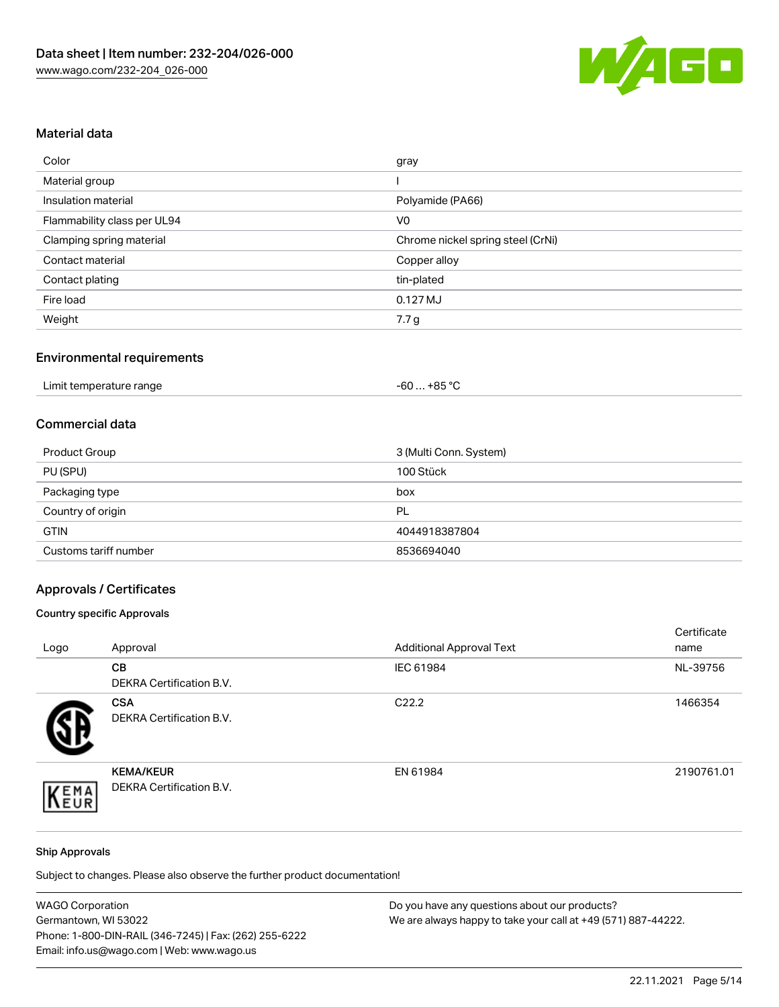

# Material data

| Color                       | gray                              |
|-----------------------------|-----------------------------------|
| Material group              |                                   |
| Insulation material         | Polyamide (PA66)                  |
| Flammability class per UL94 | V <sub>0</sub>                    |
| Clamping spring material    | Chrome nickel spring steel (CrNi) |
| Contact material            | Copper alloy                      |
| Contact plating             | tin-plated                        |
| Fire load                   | 0.127 MJ                          |
| Weight                      | 7.7 <sub>g</sub>                  |

#### Environmental requirements

| Limit temperature range<br>.<br>$\blacksquare$ . The contract of the contract of the contract of the contract of the contract of the contract of the contract of the contract of the contract of the contract of the contract of the contract of the contract of the | $. . +85 °C$<br>-60 |
|----------------------------------------------------------------------------------------------------------------------------------------------------------------------------------------------------------------------------------------------------------------------|---------------------|
|----------------------------------------------------------------------------------------------------------------------------------------------------------------------------------------------------------------------------------------------------------------------|---------------------|

#### Commercial data

| Product Group         | 3 (Multi Conn. System) |
|-----------------------|------------------------|
| PU (SPU)              | 100 Stück              |
| Packaging type        | box                    |
| Country of origin     | PL                     |
| <b>GTIN</b>           | 4044918387804          |
| Customs tariff number | 8536694040             |

# Approvals / Certificates

#### Country specific Approvals

| Logo | Approval                                            | <b>Additional Approval Text</b> | Certificate<br>name |
|------|-----------------------------------------------------|---------------------------------|---------------------|
|      | <b>CB</b><br><b>DEKRA Certification B.V.</b>        | IEC 61984                       | NL-39756            |
|      | <b>CSA</b><br>DEKRA Certification B.V.              | C <sub>22.2</sub>               | 1466354             |
| EMA  | <b>KEMA/KEUR</b><br><b>DEKRA Certification B.V.</b> | EN 61984                        | 2190761.01          |

#### Ship Approvals

Subject to changes. Please also observe the further product documentation!

| <b>WAGO Corporation</b>                                | Do you have any questions about our products?                 |
|--------------------------------------------------------|---------------------------------------------------------------|
| Germantown, WI 53022                                   | We are always happy to take your call at +49 (571) 887-44222. |
| Phone: 1-800-DIN-RAIL (346-7245)   Fax: (262) 255-6222 |                                                               |
| Email: info.us@wago.com   Web: www.wago.us             |                                                               |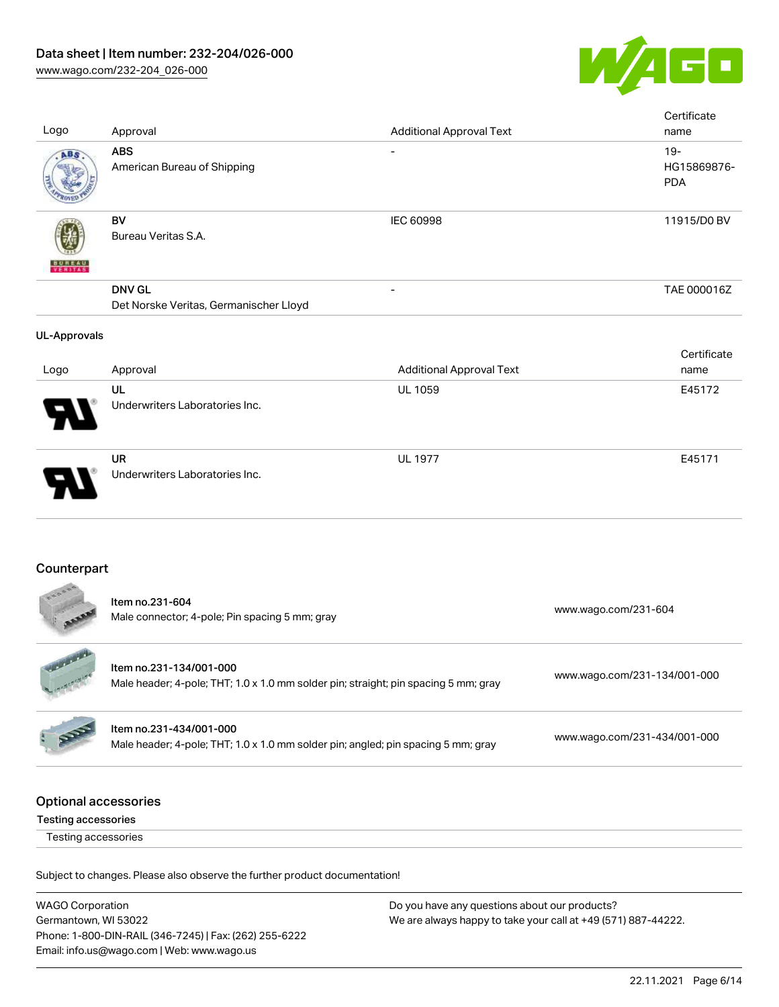

| Logo                                               | Approval                                                                                                       | <b>Additional Approval Text</b> | Certificate<br>name                 |
|----------------------------------------------------|----------------------------------------------------------------------------------------------------------------|---------------------------------|-------------------------------------|
| ABS                                                | <b>ABS</b><br>American Bureau of Shipping                                                                      |                                 | $19 -$<br>HG15869876-<br><b>PDA</b> |
|                                                    | BV<br>Bureau Veritas S.A.                                                                                      | IEC 60998                       | 11915/D0 BV                         |
|                                                    | <b>DNV GL</b><br>Det Norske Veritas, Germanischer Lloyd                                                        | $\overline{\phantom{a}}$        | TAE 000016Z                         |
| <b>UL-Approvals</b>                                |                                                                                                                |                                 |                                     |
| Logo                                               | Approval                                                                                                       | <b>Additional Approval Text</b> | Certificate<br>name                 |
|                                                    | UL<br>Underwriters Laboratories Inc.                                                                           | <b>UL 1059</b>                  | E45172                              |
|                                                    | <b>UR</b><br>Underwriters Laboratories Inc.                                                                    | <b>UL 1977</b>                  | E45171                              |
| Counterpart                                        |                                                                                                                |                                 |                                     |
|                                                    | Item no.231-604<br>Male connector; 4-pole; Pin spacing 5 mm; gray                                              |                                 | www.wago.com/231-604                |
|                                                    | Item no.231-134/001-000<br>Male header; 4-pole; THT; 1.0 x 1.0 mm solder pin; straight; pin spacing 5 mm; gray |                                 | www.wago.com/231-134/001-000        |
|                                                    | Item no.231-434/001-000<br>Male header; 4-pole; THT; 1.0 x 1.0 mm solder pin; angled; pin spacing 5 mm; gray   |                                 | www.wago.com/231-434/001-000        |
| <b>Optional accessories</b><br>Testing accessories |                                                                                                                |                                 |                                     |
| Testing accessories                                |                                                                                                                |                                 |                                     |
|                                                    | Subject to changes. Please also observe the further product documentation!                                     |                                 |                                     |

WAGO Corporation Germantown, WI 53022 Phone: 1-800-DIN-RAIL (346-7245) | Fax: (262) 255-6222 Email: info.us@wago.com | Web: www.wago.us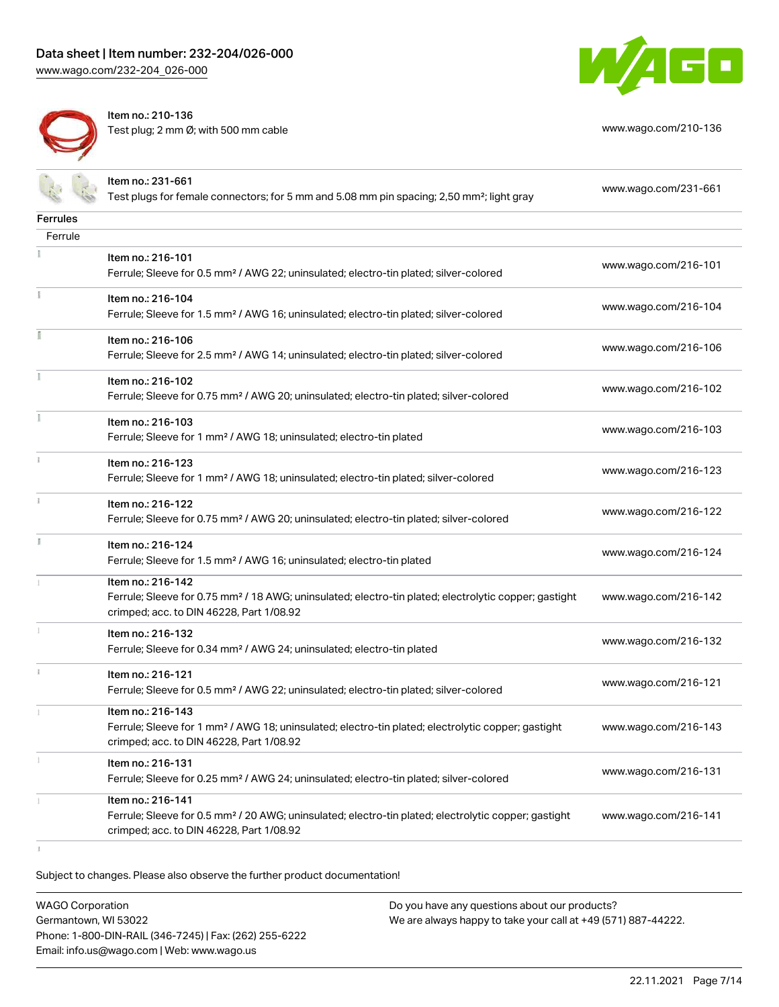

Item no.: 210-136 Test plug; 2 mm Ø; with 500 mm cable [www.wago.com/210-136](http://www.wago.com/210-136)



|                 | Item no.: 231-661<br>Test plugs for female connectors; for 5 mm and 5.08 mm pin spacing; 2,50 mm <sup>2</sup> ; light gray                                                         | www.wago.com/231-661 |
|-----------------|------------------------------------------------------------------------------------------------------------------------------------------------------------------------------------|----------------------|
| <b>Ferrules</b> |                                                                                                                                                                                    |                      |
| Ferrule         |                                                                                                                                                                                    |                      |
|                 | Item no.: 216-101<br>Ferrule; Sleeve for 0.5 mm <sup>2</sup> / AWG 22; uninsulated; electro-tin plated; silver-colored                                                             | www.wago.com/216-101 |
|                 | Item no.: 216-104<br>Ferrule; Sleeve for 1.5 mm <sup>2</sup> / AWG 16; uninsulated; electro-tin plated; silver-colored                                                             | www.wago.com/216-104 |
|                 | Item no.: 216-106<br>Ferrule; Sleeve for 2.5 mm <sup>2</sup> / AWG 14; uninsulated; electro-tin plated; silver-colored                                                             | www.wago.com/216-106 |
| ł               | Item no.: 216-102<br>Ferrule; Sleeve for 0.75 mm <sup>2</sup> / AWG 20; uninsulated; electro-tin plated; silver-colored                                                            | www.wago.com/216-102 |
| Ť.              | Item no.: 216-103<br>Ferrule; Sleeve for 1 mm <sup>2</sup> / AWG 18; uninsulated; electro-tin plated                                                                               | www.wago.com/216-103 |
| î.              | Item no.: 216-123<br>Ferrule; Sleeve for 1 mm <sup>2</sup> / AWG 18; uninsulated; electro-tin plated; silver-colored                                                               | www.wago.com/216-123 |
| î.              | Item no.: 216-122<br>Ferrule; Sleeve for 0.75 mm <sup>2</sup> / AWG 20; uninsulated; electro-tin plated; silver-colored                                                            | www.wago.com/216-122 |
| I.              | Item no.: 216-124<br>Ferrule; Sleeve for 1.5 mm <sup>2</sup> / AWG 16; uninsulated; electro-tin plated                                                                             | www.wago.com/216-124 |
|                 | Item no.: 216-142<br>Ferrule; Sleeve for 0.75 mm <sup>2</sup> / 18 AWG; uninsulated; electro-tin plated; electrolytic copper; gastight<br>crimped; acc. to DIN 46228, Part 1/08.92 | www.wago.com/216-142 |
|                 | Item no.: 216-132<br>Ferrule; Sleeve for 0.34 mm <sup>2</sup> / AWG 24; uninsulated; electro-tin plated                                                                            | www.wago.com/216-132 |
| î.              | Item no.: 216-121<br>Ferrule; Sleeve for 0.5 mm <sup>2</sup> / AWG 22; uninsulated; electro-tin plated; silver-colored                                                             | www.wago.com/216-121 |
|                 | Item no.: 216-143<br>Ferrule; Sleeve for 1 mm <sup>2</sup> / AWG 18; uninsulated; electro-tin plated; electrolytic copper; gastight<br>crimped; acc. to DIN 46228, Part 1/08.92    | www.wago.com/216-143 |
|                 | Item no.: 216-131<br>Ferrule; Sleeve for 0.25 mm <sup>2</sup> / AWG 24; uninsulated; electro-tin plated; silver-colored                                                            | www.wago.com/216-131 |
|                 | Item no.: 216-141<br>Ferrule; Sleeve for 0.5 mm <sup>2</sup> / 20 AWG; uninsulated; electro-tin plated; electrolytic copper; gastight<br>crimped; acc. to DIN 46228, Part 1/08.92  | www.wago.com/216-141 |

 $\mathbbm{1}$ 

Subject to changes. Please also observe the further product documentation!

WAGO Corporation Germantown, WI 53022 Phone: 1-800-DIN-RAIL (346-7245) | Fax: (262) 255-6222 Email: info.us@wago.com | Web: www.wago.us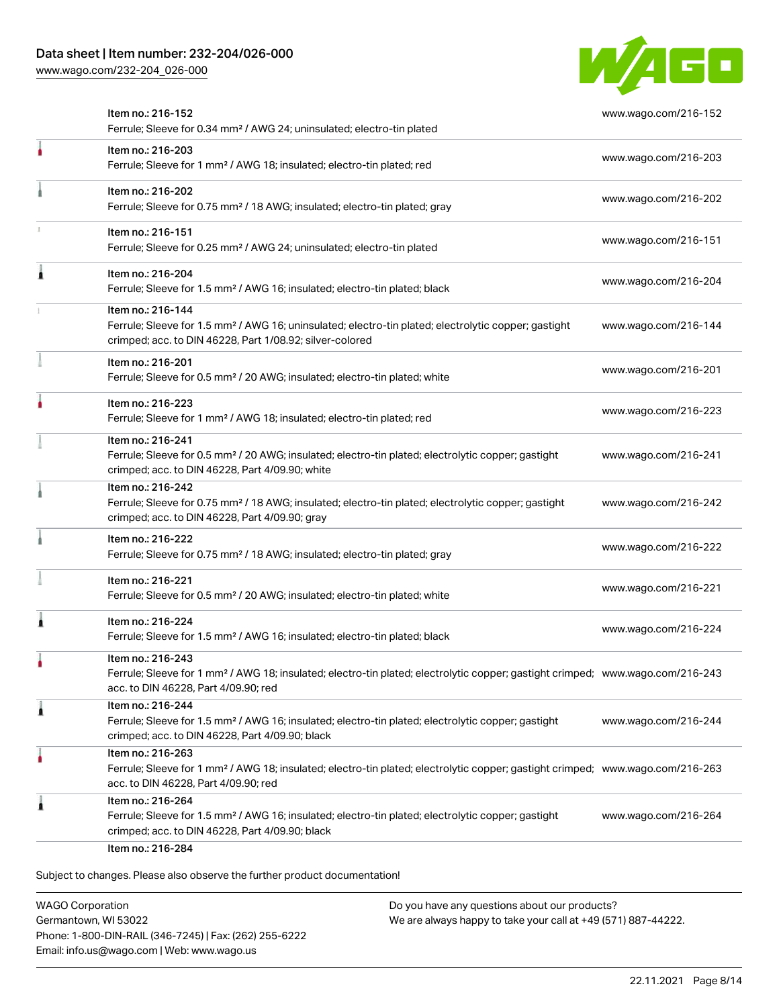

| Item no.: 216-152<br>Ferrule; Sleeve for 0.34 mm <sup>2</sup> / AWG 24; uninsulated; electro-tin plated                                                                                                 | www.wago.com/216-152 |
|---------------------------------------------------------------------------------------------------------------------------------------------------------------------------------------------------------|----------------------|
| Item no.: 216-203<br>Ferrule; Sleeve for 1 mm <sup>2</sup> / AWG 18; insulated; electro-tin plated; red                                                                                                 | www.wago.com/216-203 |
| Item no.: 216-202<br>Ferrule; Sleeve for 0.75 mm <sup>2</sup> / 18 AWG; insulated; electro-tin plated; gray                                                                                             | www.wago.com/216-202 |
| Item no.: 216-151<br>Ferrule; Sleeve for 0.25 mm <sup>2</sup> / AWG 24; uninsulated; electro-tin plated                                                                                                 | www.wago.com/216-151 |
| Item no.: 216-204<br>Ferrule; Sleeve for 1.5 mm <sup>2</sup> / AWG 16; insulated; electro-tin plated; black                                                                                             | www.wago.com/216-204 |
| Item no.: 216-144<br>Ferrule; Sleeve for 1.5 mm <sup>2</sup> / AWG 16; uninsulated; electro-tin plated; electrolytic copper; gastight<br>crimped; acc. to DIN 46228, Part 1/08.92; silver-colored       | www.wago.com/216-144 |
| Item no.: 216-201<br>Ferrule; Sleeve for 0.5 mm <sup>2</sup> / 20 AWG; insulated; electro-tin plated; white                                                                                             | www.wago.com/216-201 |
| Item no.: 216-223<br>Ferrule; Sleeve for 1 mm <sup>2</sup> / AWG 18; insulated; electro-tin plated; red                                                                                                 | www.wago.com/216-223 |
| Item no.: 216-241<br>Ferrule; Sleeve for 0.5 mm <sup>2</sup> / 20 AWG; insulated; electro-tin plated; electrolytic copper; gastight<br>crimped; acc. to DIN 46228, Part 4/09.90; white                  | www.wago.com/216-241 |
| Item no.: 216-242<br>Ferrule; Sleeve for 0.75 mm <sup>2</sup> / 18 AWG; insulated; electro-tin plated; electrolytic copper; gastight<br>crimped; acc. to DIN 46228, Part 4/09.90; gray                  | www.wago.com/216-242 |
| Item no.: 216-222<br>Ferrule; Sleeve for 0.75 mm <sup>2</sup> / 18 AWG; insulated; electro-tin plated; gray                                                                                             | www.wago.com/216-222 |
| Item no.: 216-221<br>Ferrule; Sleeve for 0.5 mm <sup>2</sup> / 20 AWG; insulated; electro-tin plated; white                                                                                             | www.wago.com/216-221 |
| Item no.: 216-224<br>Ferrule; Sleeve for 1.5 mm <sup>2</sup> / AWG 16; insulated; electro-tin plated; black                                                                                             | www.wago.com/216-224 |
| Item no.: 216-243<br>Ferrule; Sleeve for 1 mm <sup>2</sup> / AWG 18; insulated; electro-tin plated; electrolytic copper; gastight crimped; www.wago.com/216-243<br>acc. to DIN 46228, Part 4/09.90; red |                      |
| Item no.: 216-244<br>Ferrule; Sleeve for 1.5 mm <sup>2</sup> / AWG 16; insulated; electro-tin plated; electrolytic copper; gastight<br>crimped; acc. to DIN 46228, Part 4/09.90; black                  | www.wago.com/216-244 |
| Item no.: 216-263<br>Ferrule; Sleeve for 1 mm <sup>2</sup> / AWG 18; insulated; electro-tin plated; electrolytic copper; gastight crimped; www.wago.com/216-263<br>acc. to DIN 46228, Part 4/09.90; red |                      |
| Item no.: 216-264<br>Ferrule; Sleeve for 1.5 mm <sup>2</sup> / AWG 16; insulated; electro-tin plated; electrolytic copper; gastight<br>crimped; acc. to DIN 46228, Part 4/09.90; black                  | www.wago.com/216-264 |

WAGO Corporation Germantown, WI 53022 Phone: 1-800-DIN-RAIL (346-7245) | Fax: (262) 255-6222 Email: info.us@wago.com | Web: www.wago.us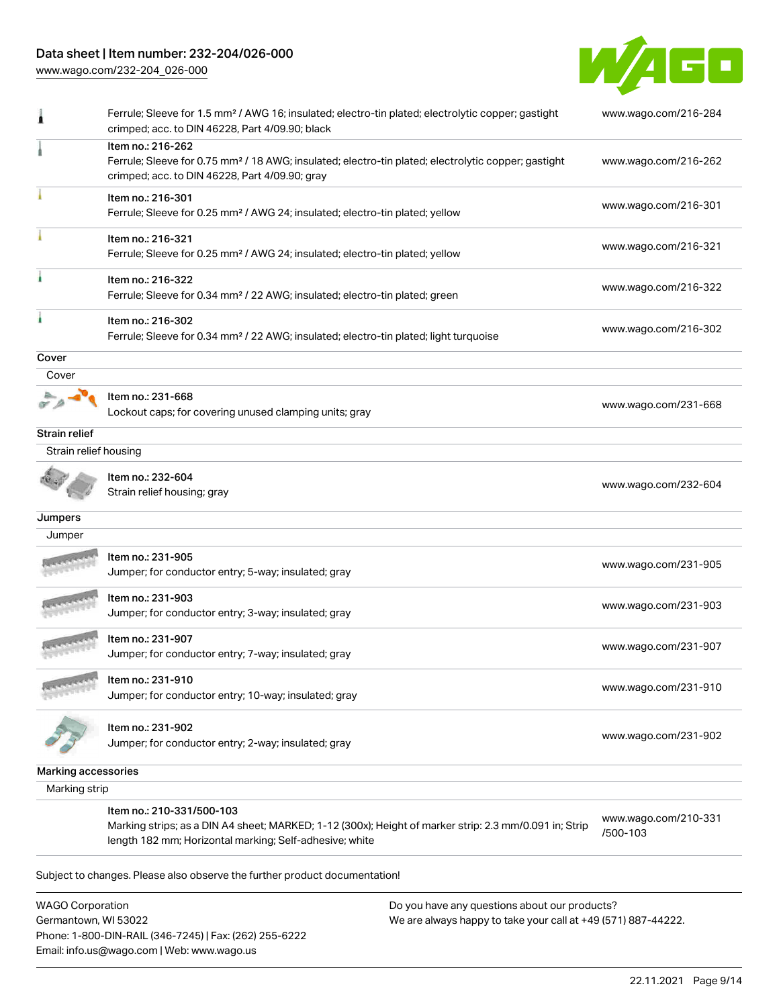# Data sheet | Item number: 232-204/026-000

[www.wago.com/232-204\\_026-000](http://www.wago.com/232-204_026-000)



| Ferrule; Sleeve for 1.5 mm <sup>2</sup> / AWG 16; insulated; electro-tin plated; electrolytic copper; gastight<br>crimped; acc. to DIN 46228, Part 4/09.90; black                              |
|------------------------------------------------------------------------------------------------------------------------------------------------------------------------------------------------|
| Ferrule; Sleeve for 0.75 mm <sup>2</sup> / 18 AWG; insulated; electro-tin plated; electrolytic copper; gastight<br>crimped; acc. to DIN 46228, Part 4/09.90; gray                              |
| Ferrule; Sleeve for 0.25 mm <sup>2</sup> / AWG 24; insulated; electro-tin plated; yellow                                                                                                       |
| Ferrule; Sleeve for 0.25 mm <sup>2</sup> / AWG 24; insulated; electro-tin plated; yellow                                                                                                       |
| Ferrule; Sleeve for 0.34 mm <sup>2</sup> / 22 AWG; insulated; electro-tin plated; green                                                                                                        |
| Ferrule; Sleeve for 0.34 mm <sup>2</sup> / 22 AWG; insulated; electro-tin plated; light turquoise                                                                                              |
|                                                                                                                                                                                                |
|                                                                                                                                                                                                |
| Lockout caps; for covering unused clamping units; gray                                                                                                                                         |
|                                                                                                                                                                                                |
|                                                                                                                                                                                                |
|                                                                                                                                                                                                |
|                                                                                                                                                                                                |
|                                                                                                                                                                                                |
| Jumper; for conductor entry; 5-way; insulated; gray                                                                                                                                            |
| Jumper; for conductor entry; 3-way; insulated; gray                                                                                                                                            |
| Jumper; for conductor entry; 7-way; insulated; gray                                                                                                                                            |
| Jumper; for conductor entry; 10-way; insulated; gray                                                                                                                                           |
| Jumper; for conductor entry; 2-way; insulated; gray                                                                                                                                            |
|                                                                                                                                                                                                |
|                                                                                                                                                                                                |
| Item no.: 210-331/500-103<br>Marking strips; as a DIN A4 sheet; MARKED; 1-12 (300x); Height of marker strip: 2.3 mm/0.091 in; Strip<br>length 182 mm; Horizontal marking; Self-adhesive; white |
| Subject to changes. Please also observe the further product documentation!                                                                                                                     |

WAGO Corporation Germantown, WI 53022 Phone: 1-800-DIN-RAIL (346-7245) | Fax: (262) 255-6222 Email: info.us@wago.com | Web: www.wago.us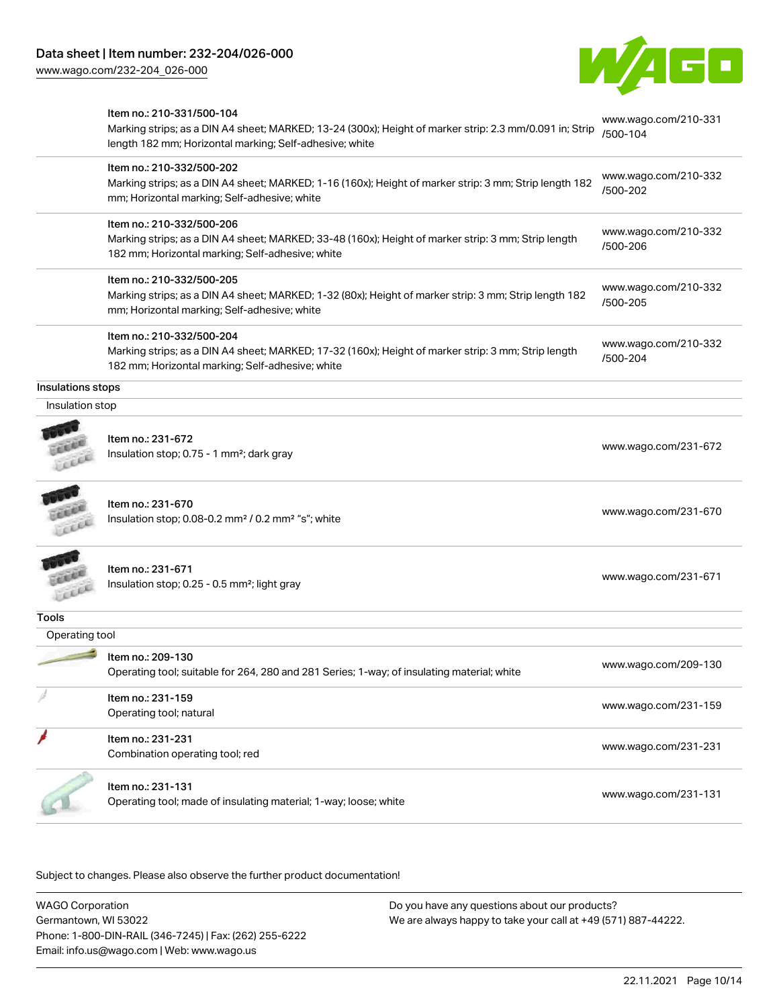

|                   | Item no.: 210-331/500-104<br>Marking strips; as a DIN A4 sheet; MARKED; 13-24 (300x); Height of marker strip: 2.3 mm/0.091 in; Strip<br>length 182 mm; Horizontal marking; Self-adhesive; white | www.wago.com/210-331<br>/500-104 |
|-------------------|-------------------------------------------------------------------------------------------------------------------------------------------------------------------------------------------------|----------------------------------|
|                   | Item no.: 210-332/500-202<br>Marking strips; as a DIN A4 sheet; MARKED; 1-16 (160x); Height of marker strip: 3 mm; Strip length 182<br>mm; Horizontal marking; Self-adhesive; white             | www.wago.com/210-332<br>/500-202 |
|                   | Item no.: 210-332/500-206<br>Marking strips; as a DIN A4 sheet; MARKED; 33-48 (160x); Height of marker strip: 3 mm; Strip length<br>182 mm; Horizontal marking; Self-adhesive; white            | www.wago.com/210-332<br>/500-206 |
|                   | Item no.: 210-332/500-205<br>Marking strips; as a DIN A4 sheet; MARKED; 1-32 (80x); Height of marker strip: 3 mm; Strip length 182<br>mm; Horizontal marking; Self-adhesive; white              | www.wago.com/210-332<br>/500-205 |
|                   | Item no.: 210-332/500-204<br>Marking strips; as a DIN A4 sheet; MARKED; 17-32 (160x); Height of marker strip: 3 mm; Strip length<br>182 mm; Horizontal marking; Self-adhesive; white            | www.wago.com/210-332<br>/500-204 |
| Insulations stops |                                                                                                                                                                                                 |                                  |
| Insulation stop   |                                                                                                                                                                                                 |                                  |
|                   | Item no.: 231-672<br>Insulation stop; 0.75 - 1 mm <sup>2</sup> ; dark gray                                                                                                                      | www.wago.com/231-672             |
| Leee              | Item no.: 231-670<br>Insulation stop; 0.08-0.2 mm <sup>2</sup> / 0.2 mm <sup>2</sup> "s"; white                                                                                                 | www.wago.com/231-670             |
|                   | Item no.: 231-671<br>Insulation stop; 0.25 - 0.5 mm <sup>2</sup> ; light gray                                                                                                                   | www.wago.com/231-671             |
| <b>Tools</b>      |                                                                                                                                                                                                 |                                  |
| Operating tool    |                                                                                                                                                                                                 |                                  |
|                   | Item no.: 209-130<br>Operating tool; suitable for 264, 280 and 281 Series; 1-way; of insulating material; white                                                                                 | www.wago.com/209-130             |
|                   | Item no.: 231-159<br>Operating tool; natural                                                                                                                                                    | www.wago.com/231-159             |
|                   | Item no.: 231-231<br>Combination operating tool; red                                                                                                                                            | www.wago.com/231-231             |
|                   | Item no.: 231-131<br>Operating tool; made of insulating material; 1-way; loose; white                                                                                                           | www.wago.com/231-131             |
|                   |                                                                                                                                                                                                 |                                  |

Subject to changes. Please also observe the further product documentation!

WAGO Corporation Germantown, WI 53022 Phone: 1-800-DIN-RAIL (346-7245) | Fax: (262) 255-6222 Email: info.us@wago.com | Web: www.wago.us Do you have any questions about our products? We are always happy to take your call at +49 (571) 887-44222.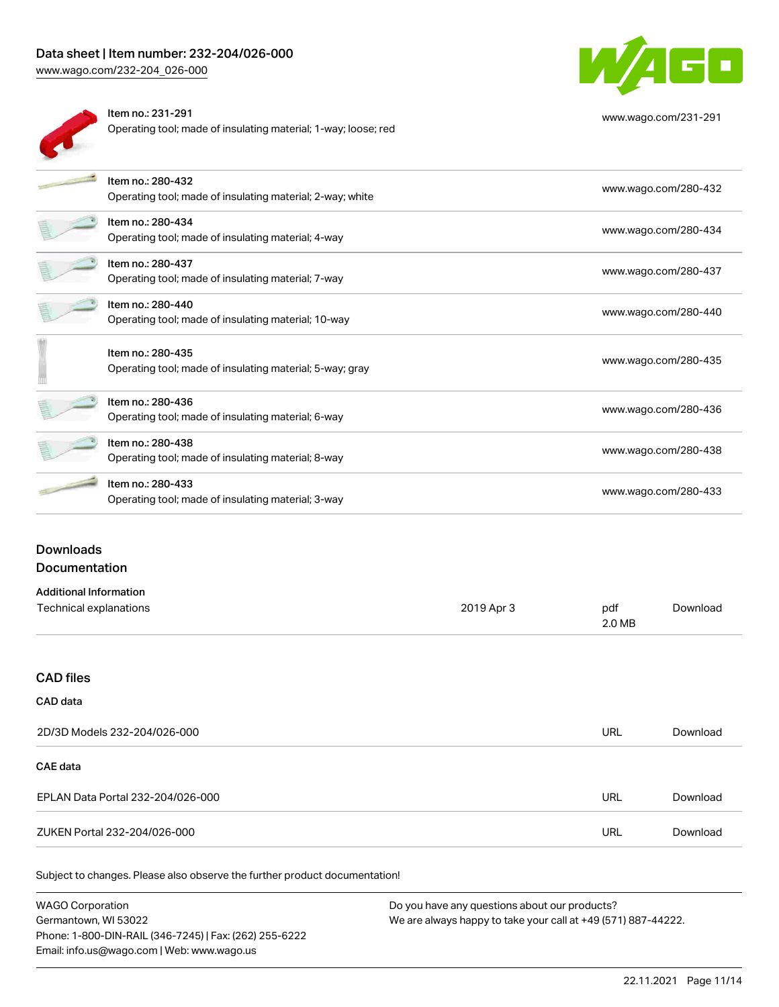# Data sheet | Item number: 232-204/026-000

[www.wago.com/232-204\\_026-000](http://www.wago.com/232-204_026-000)



 $at$ 

 $100$ 

 $at$ 

Ï

attili innocenti

art1

£,

Item no.: 231-291 Operating tool; made of insulating material; 1-way; loose; red



[www.wago.com/231-291](http://www.wago.com/231-291)

| Item no.: 280-432<br>Operating tool; made of insulating material; 2-way; white | www.wago.com/280-432 |
|--------------------------------------------------------------------------------|----------------------|
| Item no.: 280-434<br>Operating tool; made of insulating material; 4-way        | www.wago.com/280-434 |
| Item no.: 280-437<br>Operating tool; made of insulating material; 7-way        | www.wago.com/280-437 |
| Item no.: 280-440<br>Operating tool; made of insulating material; 10-way       | www.wago.com/280-440 |
| Item no.: 280-435<br>Operating tool; made of insulating material; 5-way; gray  | www.wago.com/280-435 |
| Item no.: 280-436<br>Operating tool; made of insulating material; 6-way        | www.wago.com/280-436 |
| Item no.: 280-438<br>Operating tool; made of insulating material; 8-way        | www.wago.com/280-438 |
| Item no.: 280-433<br>Operating tool; made of insulating material; 3-way        | www.wago.com/280-433 |

# Downloads

# Documentation

| <b>Additional Information</b> |            |        |          |
|-------------------------------|------------|--------|----------|
| Technical explanations        | 2019 Apr 3 | pdf    | Download |
|                               |            | 2.0 MB |          |

#### CAD files

#### CAD data

| 2D/3D Models 232-204/026-000      | URL | Download |
|-----------------------------------|-----|----------|
| CAE data                          |     |          |
| EPLAN Data Portal 232-204/026-000 | URL | Download |
| ZUKEN Portal 232-204/026-000      | URL | Download |

Subject to changes. Please also observe the further product documentation!

WAGO Corporation Germantown, WI 53022 Phone: 1-800-DIN-RAIL (346-7245) | Fax: (262) 255-6222 Email: info.us@wago.com | Web: www.wago.us Do you have any questions about our products? We are always happy to take your call at +49 (571) 887-44222.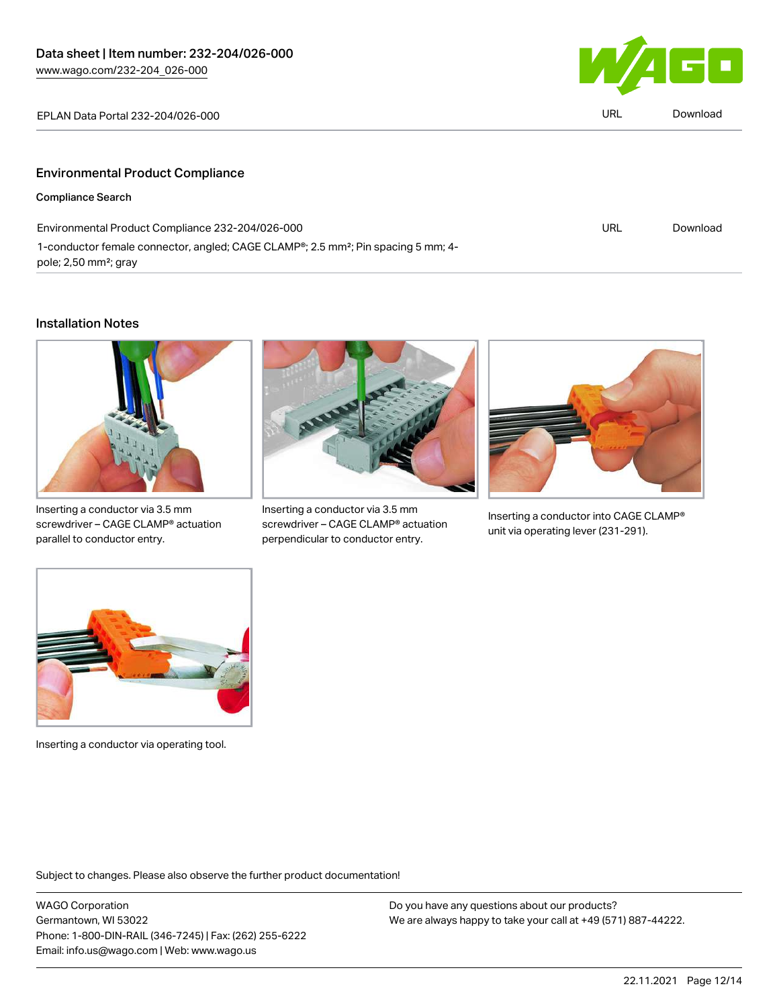

| EPLAN Data Portal 232-204/026-000       | URL | Download |
|-----------------------------------------|-----|----------|
|                                         |     |          |
| <b>Environmental Product Compliance</b> |     |          |
| <b>Compliance Search</b>                |     |          |

| Environmental Product Compliance 232-204/026-000                                                           | URL | Download |
|------------------------------------------------------------------------------------------------------------|-----|----------|
| 1-conductor female connector, angled; CAGE CLAMP <sup>®</sup> ; 2.5 mm <sup>2</sup> ; Pin spacing 5 mm; 4- |     |          |
| pole; 2,50 mm <sup>2</sup> ; gray                                                                          |     |          |

#### Installation Notes



Inserting a conductor via 3.5 mm screwdriver – CAGE CLAMP® actuation parallel to conductor entry.



Inserting a conductor via 3.5 mm screwdriver – CAGE CLAMP® actuation perpendicular to conductor entry.



Inserting a conductor into CAGE CLAMP® unit via operating lever (231-291).



Inserting a conductor via operating tool.

Subject to changes. Please also observe the further product documentation!

WAGO Corporation Germantown, WI 53022 Phone: 1-800-DIN-RAIL (346-7245) | Fax: (262) 255-6222 Email: info.us@wago.com | Web: www.wago.us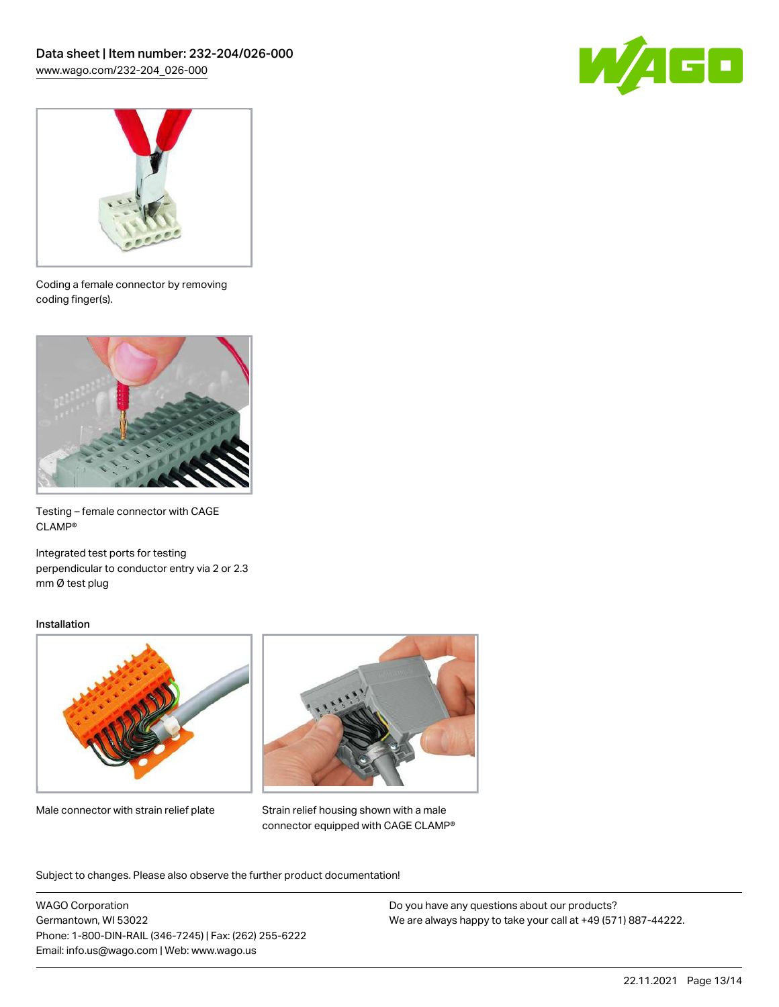



Coding a female connector by removing coding finger(s).



Testing – female connector with CAGE CLAMP®

Integrated test ports for testing perpendicular to conductor entry via 2 or 2.3 mm Ø test plug

#### Installation



Male connector with strain relief plate



Strain relief housing shown with a male connector equipped with CAGE CLAMP®

Subject to changes. Please also observe the further product documentation!

WAGO Corporation Germantown, WI 53022 Phone: 1-800-DIN-RAIL (346-7245) | Fax: (262) 255-6222 Email: info.us@wago.com | Web: www.wago.us